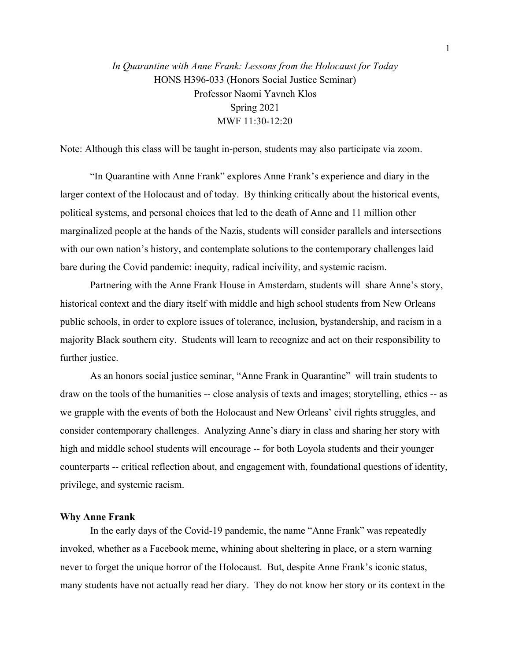*In Quarantine with Anne Frank: Lessons from the Holocaust for Today* HONS H396-033 (Honors Social Justice Seminar) Professor Naomi Yavneh Klos Spring 2021 MWF 11:30-12:20

Note: Although this class will be taught in-person, students may also participate via zoom.

"In Quarantine with Anne Frank" explores Anne Frank's experience and diary in the larger context of the Holocaust and of today. By thinking critically about the historical events, political systems, and personal choices that led to the death of Anne and 11 million other marginalized people at the hands of the Nazis, students will consider parallels and intersections with our own nation's history, and contemplate solutions to the contemporary challenges laid bare during the Covid pandemic: inequity, radical incivility, and systemic racism.

Partnering with the Anne Frank House in Amsterdam, students will share Anne's story, historical context and the diary itself with middle and high school students from New Orleans public schools, in order to explore issues of tolerance, inclusion, bystandership, and racism in a majority Black southern city. Students will learn to recognize and act on their responsibility to further justice.

As an honors social justice seminar, "Anne Frank in Quarantine" will train students to draw on the tools of the humanities -- close analysis of texts and images; storytelling, ethics -- as we grapple with the events of both the Holocaust and New Orleans' civil rights struggles, and consider contemporary challenges. Analyzing Anne's diary in class and sharing her story with high and middle school students will encourage -- for both Loyola students and their younger counterparts -- critical reflection about, and engagement with, foundational questions of identity, privilege, and systemic racism.

## **Why Anne Frank**

In the early days of the Covid-19 pandemic, the name "Anne Frank" was repeatedly invoked, whether as a Facebook meme, whining about sheltering in place, or a stern warning never to forget the unique horror of the Holocaust. But, despite Anne Frank's iconic status, many students have not actually read her diary. They do not know her story or its context in the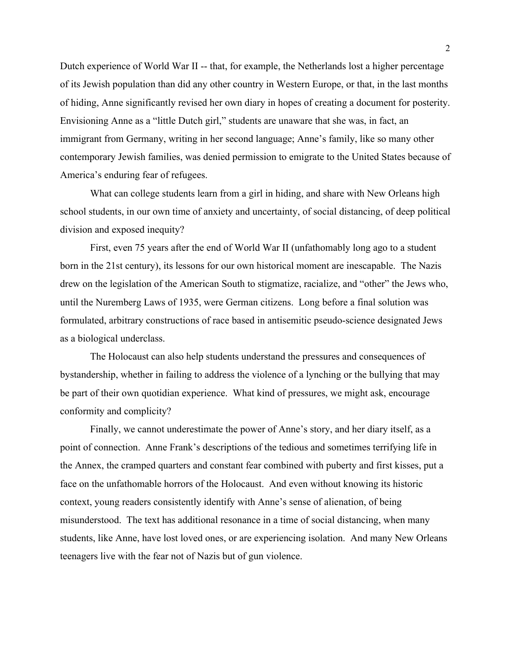Dutch experience of World War II -- that, for example, the Netherlands lost a higher percentage of its Jewish population than did any other country in Western Europe, or that, in the last months of hiding, Anne significantly revised her own diary in hopes of creating a document for posterity. Envisioning Anne as a "little Dutch girl," students are unaware that she was, in fact, an immigrant from Germany, writing in her second language; Anne's family, like so many other contemporary Jewish families, was denied permission to emigrate to the United States because of America's enduring fear of refugees.

What can college students learn from a girl in hiding, and share with New Orleans high school students, in our own time of anxiety and uncertainty, of social distancing, of deep political division and exposed inequity?

First, even 75 years after the end of World War II (unfathomably long ago to a student born in the 21st century), its lessons for our own historical moment are inescapable. The Nazis drew on the legislation of the American South to stigmatize, racialize, and "other" the Jews who, until the Nuremberg Laws of 1935, were German citizens. Long before a final solution was formulated, arbitrary constructions of race based in antisemitic pseudo-science designated Jews as a biological underclass.

The Holocaust can also help students understand the pressures and consequences of bystandership, whether in failing to address the violence of a lynching or the bullying that may be part of their own quotidian experience. What kind of pressures, we might ask, encourage conformity and complicity?

Finally, we cannot underestimate the power of Anne's story, and her diary itself, as a point of connection. Anne Frank's descriptions of the tedious and sometimes terrifying life in the Annex, the cramped quarters and constant fear combined with puberty and first kisses, put a face on the unfathomable horrors of the Holocaust. And even without knowing its historic context, young readers consistently identify with Anne's sense of alienation, of being misunderstood. The text has additional resonance in a time of social distancing, when many students, like Anne, have lost loved ones, or are experiencing isolation. And many New Orleans teenagers live with the fear not of Nazis but of gun violence.